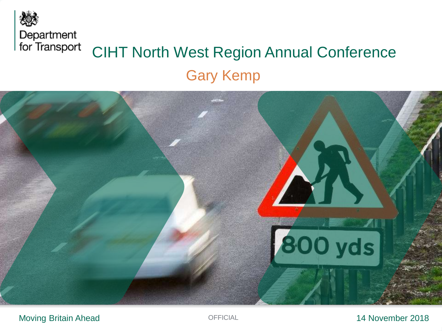



#### Moving Britain Ahead

### OFFICIAL 14 November 2018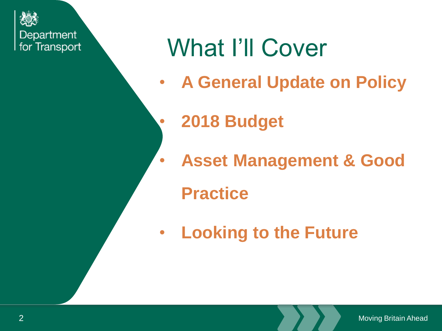

# What I'll Cover

- **A General Update on Policy**
- **2018 Budget**
- **Asset Management & Good** 
	- **Practice**
- **Looking to the Future**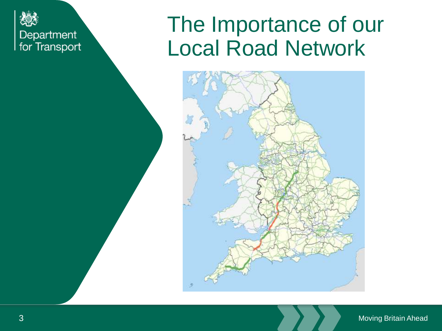

# The Importance of our Local Road Network



#### Moving Britain Ahead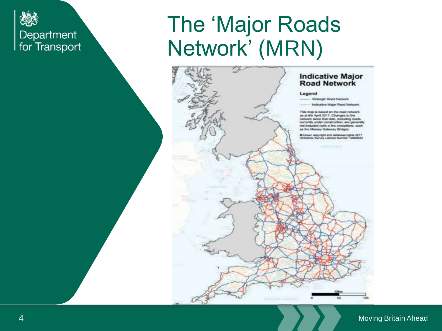

# The 'Major Roads Network' (MRN)



#### **Moving Britain Ahead**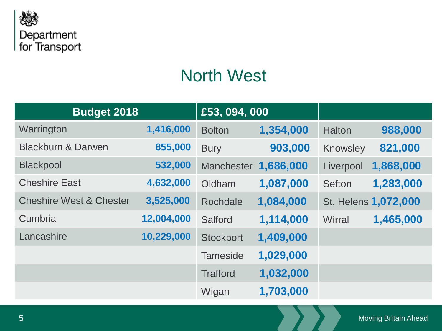

## North West

| <b>Budget 2018</b>                 |            | £53, 094, 000     |           |               |                      |
|------------------------------------|------------|-------------------|-----------|---------------|----------------------|
| Warrington                         | 1,416,000  | <b>Bolton</b>     | 1,354,000 | <b>Halton</b> | 988,000              |
| <b>Blackburn &amp; Darwen</b>      | 855,000    | <b>Bury</b>       | 903,000   | Knowsley      | 821,000              |
| <b>Blackpool</b>                   | 532,000    | <b>Manchester</b> | 1,686,000 | Liverpool     | 1,868,000            |
| <b>Cheshire East</b>               | 4,632,000  | Oldham            | 1,087,000 | <b>Sefton</b> | 1,283,000            |
| <b>Cheshire West &amp; Chester</b> | 3,525,000  | Rochdale          | 1,084,000 |               | St. Helens 1,072,000 |
| Cumbria                            | 12,004,000 | Salford           | 1,114,000 | Wirral        | 1,465,000            |
| Lancashire                         | 10,229,000 | <b>Stockport</b>  | 1,409,000 |               |                      |
|                                    |            | <b>Tameside</b>   | 1,029,000 |               |                      |
|                                    |            | <b>Trafford</b>   | 1,032,000 |               |                      |
|                                    |            | Wigan             | 1,703,000 |               |                      |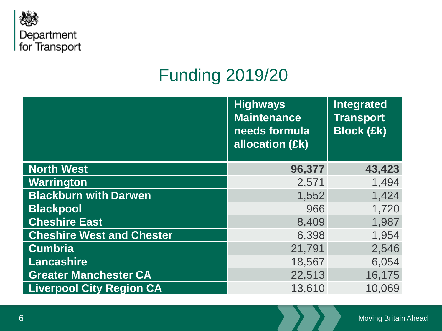

## Funding 2019/20

|                                  | <b>Highways</b><br><b>Maintenance</b><br>needs formula<br>allocation (£k) | Integrated<br><b>Transport</b><br><b>Block (£k)</b> |
|----------------------------------|---------------------------------------------------------------------------|-----------------------------------------------------|
| <b>North West</b>                | 96,377                                                                    | 43,423                                              |
| Warrington                       | 2,571                                                                     | 1,494                                               |
| <b>Blackburn with Darwen</b>     | 1,552                                                                     | 1,424                                               |
| <b>Blackpool</b>                 | 966                                                                       | 1,720                                               |
| <b>Cheshire East</b>             | 8,409                                                                     | 1,987                                               |
| <b>Cheshire West and Chester</b> | 6,398                                                                     | 1,954                                               |
| <b>Cumbria</b>                   | 21,791                                                                    | 2,546                                               |
| <b>Lancashire</b>                | 18,567                                                                    | 6,054                                               |
| <b>Greater Manchester CA</b>     | 22,513                                                                    | 16,175                                              |
| <b>Liverpool City Region CA</b>  | 13,610                                                                    | 10,069                                              |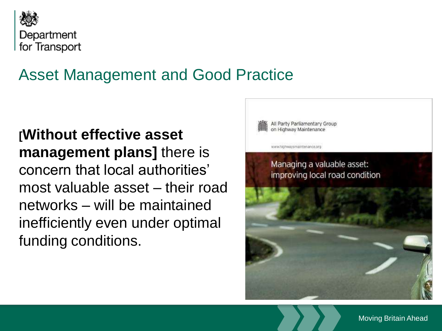

### Asset Management and Good Practice

**[Without effective asset management plans]** there is concern that local authorities' most valuable asset – their road networks – will be maintained inefficiently even under optimal funding conditions.



Moving Britain Ahead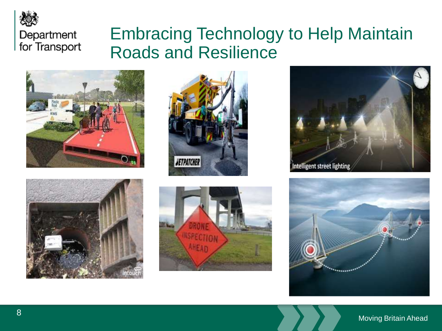

### Embracing Technology to Help Maintain Roads and Resilience











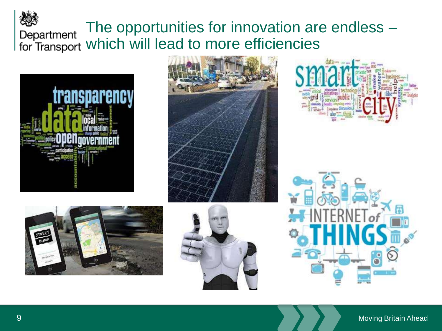### The opportunities for innovation are endless – which will lead to more efficiencies











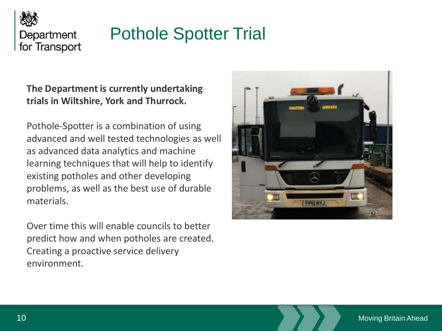

## Pothole Spotter Trial

### **The Department is currently undertaking trials in Wiltshire, York and Thurrock.**

Pothole-Spotter is a combination of using advanced and well tested technologies as well as advanced data analytics and machine learning techniques that will help to identify existing potholes and other developing problems, as well as the best use of durable materials.

Over time this will enable councils to better predict how and when potholes are created. Creating a proactive service delivery environment.